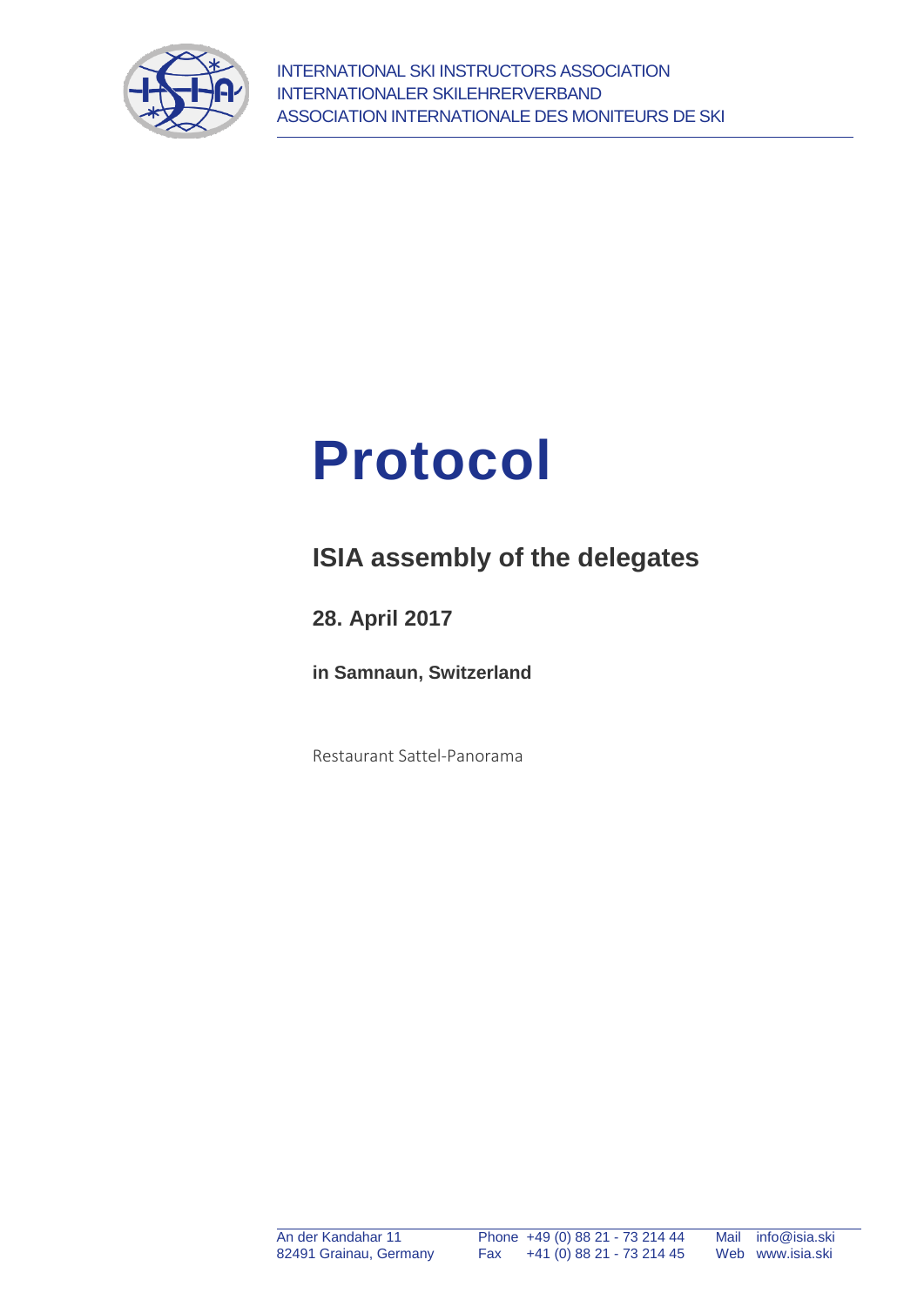



# **ISIA assembly of the delegates**

**28. April 2017**

**in Samnaun, Switzerland**

Restaurant Sattel-Panorama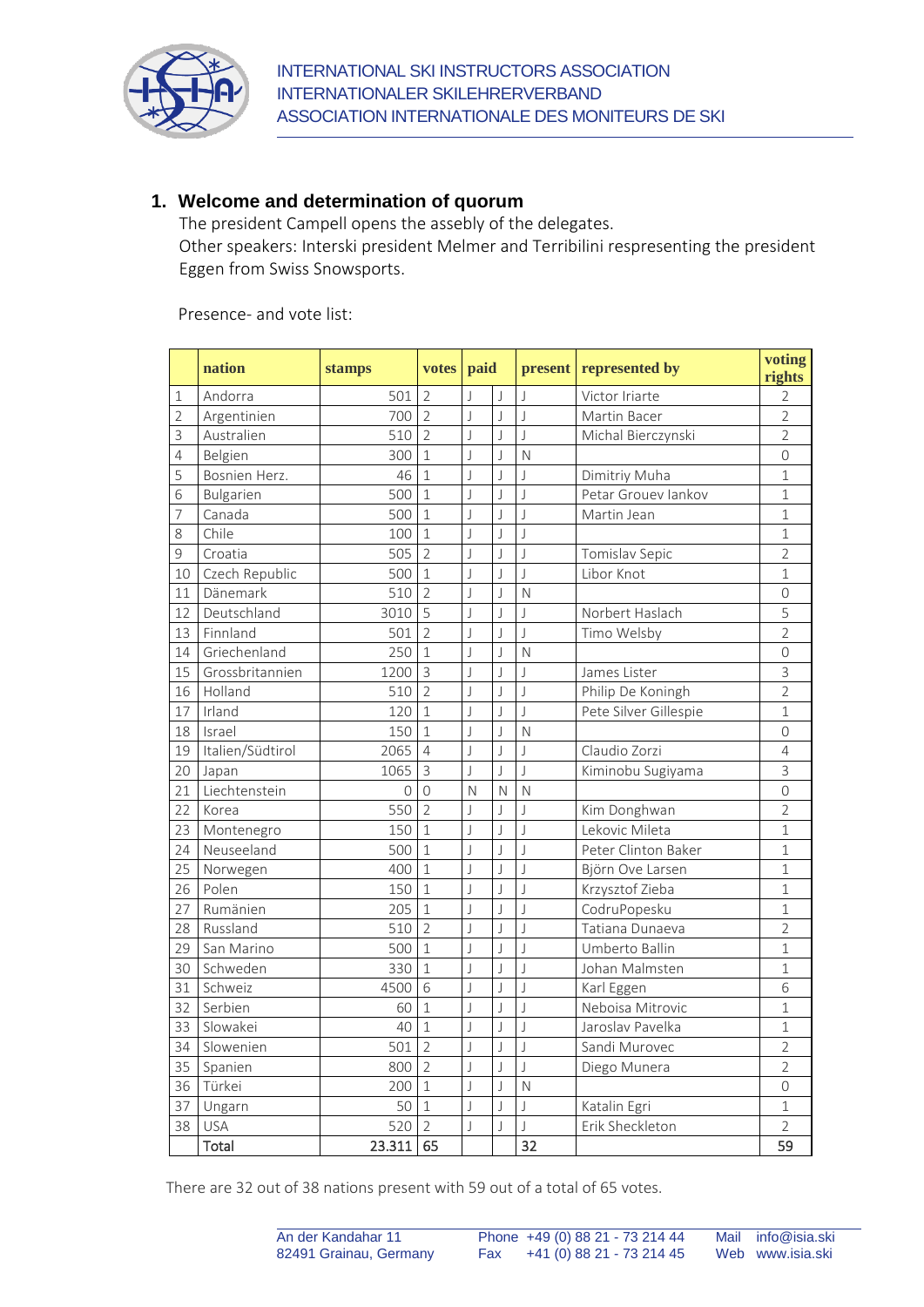

# **1. Welcome and determination of quorum**

The president Campell opens the assebly of the delegates.

Other speakers: Interski president Melmer and Terribilini respresenting the president Eggen from Swiss Snowsports.

Presence- and vote list:

|                | nation           | stamps         | votes          | paid                     |                         |                          | present represented by | voting<br>rights |
|----------------|------------------|----------------|----------------|--------------------------|-------------------------|--------------------------|------------------------|------------------|
| 1              | Andorra          | 501            | $\overline{2}$ | $\overline{\phantom{a}}$ | J                       | $\overline{\phantom{a}}$ | Victor Iriarte         | $\overline{2}$   |
| $\overline{2}$ | Argentinien      | 700            | $\overline{2}$ | J                        | $\int$                  | J                        | Martin Bacer           | $\overline{2}$   |
| 3              | Australien       | 510            | $\overline{2}$ | J                        | $\bigcup$               | $\overline{\mathsf{I}}$  | Michal Bierczynski     | $\overline{2}$   |
| 4              | Belgien          | 300            | $\mathbf{1}$   | J                        | J                       | $\mathsf{N}$             |                        | 0                |
| 5              | Bosnien Herz.    | 46             | $\mathbf{1}$   | J                        | $\overline{\mathsf{I}}$ | $\overline{\mathsf{I}}$  | Dimitriy Muha          | $\mathbf 1$      |
| 6              | Bulgarien        | 500            | $\mathbf{1}$   | J                        | $\overline{\mathsf{I}}$ | $\overline{\phantom{a}}$ | Petar Grouev lankov    | $\mathbf{1}$     |
| 7              | Canada           | 500            | $\mathbf{1}$   | J                        | J                       | J                        | Martin Jean            | $\mathbf 1$      |
| 8              | Chile            | 100            | $\mathbf{1}$   | J                        | $\overline{\mathsf{I}}$ | J                        |                        | $\mathbf 1$      |
| 9              | Croatia          | 505            | $\overline{2}$ | J                        | $\bigcup$               | J                        | Tomislav Sepic         | $\overline{2}$   |
| 10             | Czech Republic   | 500            | $\mathbf{1}$   | $\overline{\phantom{a}}$ | $\overline{\mathsf{I}}$ | $\overline{\phantom{a}}$ | Libor Knot             | $\overline{1}$   |
| 11             | Dänemark         | 510            | $\overline{2}$ | $\overline{\phantom{a}}$ | J                       | $\mathsf{N}$             |                        | 0                |
| 12             | Deutschland      | 3010           | 5              | J                        | $\bigcup$               | J                        | Norbert Haslach        | 5                |
| 13             | Finnland         | 501            | $\overline{2}$ | J                        | J                       | $\bigcup$                | Timo Welsby            | $\overline{2}$   |
| 14             | Griechenland     | 250            | $\mathbf 1$    | J                        | $\overline{\mathsf{I}}$ | $\mathsf{N}$             |                        | 0                |
| 15             | Grossbritannien  | 1200           | $\overline{3}$ | $\overline{\phantom{a}}$ | J                       | $\overline{\phantom{a}}$ | James Lister           | 3                |
| 16             | Holland          | 510            | $\overline{2}$ | $\overline{\phantom{a}}$ | $\overline{\mathsf{J}}$ | J                        | Philip De Koningh      | $\overline{2}$   |
| 17             | Irland           | 120            | $\mathbf 1$    | J                        | $\overline{\mathsf{I}}$ | J                        | Pete Silver Gillespie  | $\mathbf 1$      |
| 18             | Israel           | 150            | $\mathbf{1}$   | J                        | J                       | $\mathsf{N}$             |                        | 0                |
| 19             | Italien/Südtirol | 2065           | $\overline{4}$ | $\overline{\phantom{a}}$ | J                       | $\overline{1}$           | Claudio Zorzi          | 4                |
| 20             | Japan            | 1065           | $\overline{3}$ | J                        | J                       | $\overline{\phantom{a}}$ | Kiminobu Sugiyama      | $\overline{3}$   |
| 21             | Liechtenstein    | $\overline{0}$ | $\overline{0}$ | $\mathsf{N}$             | $\overline{N}$          | $\mathsf{N}$             |                        | $\overline{O}$   |
| 22             | Korea            | 550            | $\overline{2}$ | J                        | J                       | $\overline{\mathsf{I}}$  | Kim Donghwan           | $\overline{2}$   |
| 23             | Montenegro       | 150            | $\mathbf 1$    | J                        | $\bigcup$               | J                        | Lekovic Mileta         | $\mathbf 1$      |
| 24             | Neuseeland       | 500            | $\mathbf{1}$   | $\overline{\phantom{a}}$ | J                       | J                        | Peter Clinton Baker    | $\mathbf{1}$     |
| 25             | Norwegen         | 400            | $\mathbf{1}$   | $\overline{\phantom{a}}$ | J                       | J                        | Björn Ove Larsen       | $\mathbf{1}$     |
| 26             | Polen            | 150            | $\mathbf{1}$   | J                        | $\bigcup$               | $\overline{\mathsf{I}}$  | Krzysztof Zieba        | $\overline{1}$   |
| 27             | Rumänien         | 205            | $\mathbf{1}$   | J                        | J                       | $\overline{\mathsf{I}}$  | CodruPopesku           | $\overline{1}$   |
| 28             | Russland         | 510            | $\overline{2}$ | J                        | $\overline{\mathsf{I}}$ | J                        | Tatiana Dunaeva        | $\overline{2}$   |
| 29             | San Marino       | 500            | $\mathbf{1}$   | $\overline{\phantom{a}}$ | J                       | $\overline{\phantom{a}}$ | Umberto Ballin         | $\mathbf{1}$     |
| 30             | Schweden         | 330            | $\mathbf 1$    | J                        | J                       | J                        | Johan Malmsten         | $\mathbf 1$      |
| 31             | Schweiz          | 4500           | 6              | J                        | $\overline{\mathsf{I}}$ | J                        | Karl Eggen             | 6                |
| 32             | Serbien          | 60             | $\mathbf 1$    | J                        | J                       | $\overline{\mathsf{I}}$  | Neboisa Mitrovic       | $\overline{1}$   |
| 33             | Slowakei         | 40             | $\mathbf{1}$   | $\overline{\phantom{a}}$ | $\overline{\mathsf{I}}$ | $\overline{\phantom{a}}$ | Jaroslav Pavelka       | $\overline{1}$   |
| 34             | Slowenien        | 501            | $\overline{2}$ | J                        | J                       | J                        | Sandi Murovec          | $\overline{2}$   |
| 35             | Spanien          | 800            | $\overline{2}$ | J                        | J                       | J                        | Diego Munera           | $\overline{2}$   |
| 36             | Türkei           | 200            | $\mathbf{1}$   | J                        | $\overline{\mathsf{I}}$ | $\mathsf{N}$             |                        | $\overline{O}$   |
| 37             | Ungarn           | 50             | $\mathbf{1}$   | J                        | $\bigcup$               | $\overline{\mathsf{I}}$  | Katalin Egri           | $\overline{1}$   |
| 38             | <b>USA</b>       | 520            | $\overline{2}$ | J                        | J                       | J                        | Erik Sheckleton        | $\overline{2}$   |
|                | Total            | 23.311         | 65             |                          |                         | 32                       |                        | 59               |

There are 32 out of 38 nations present with 59 out of a total of 65 votes.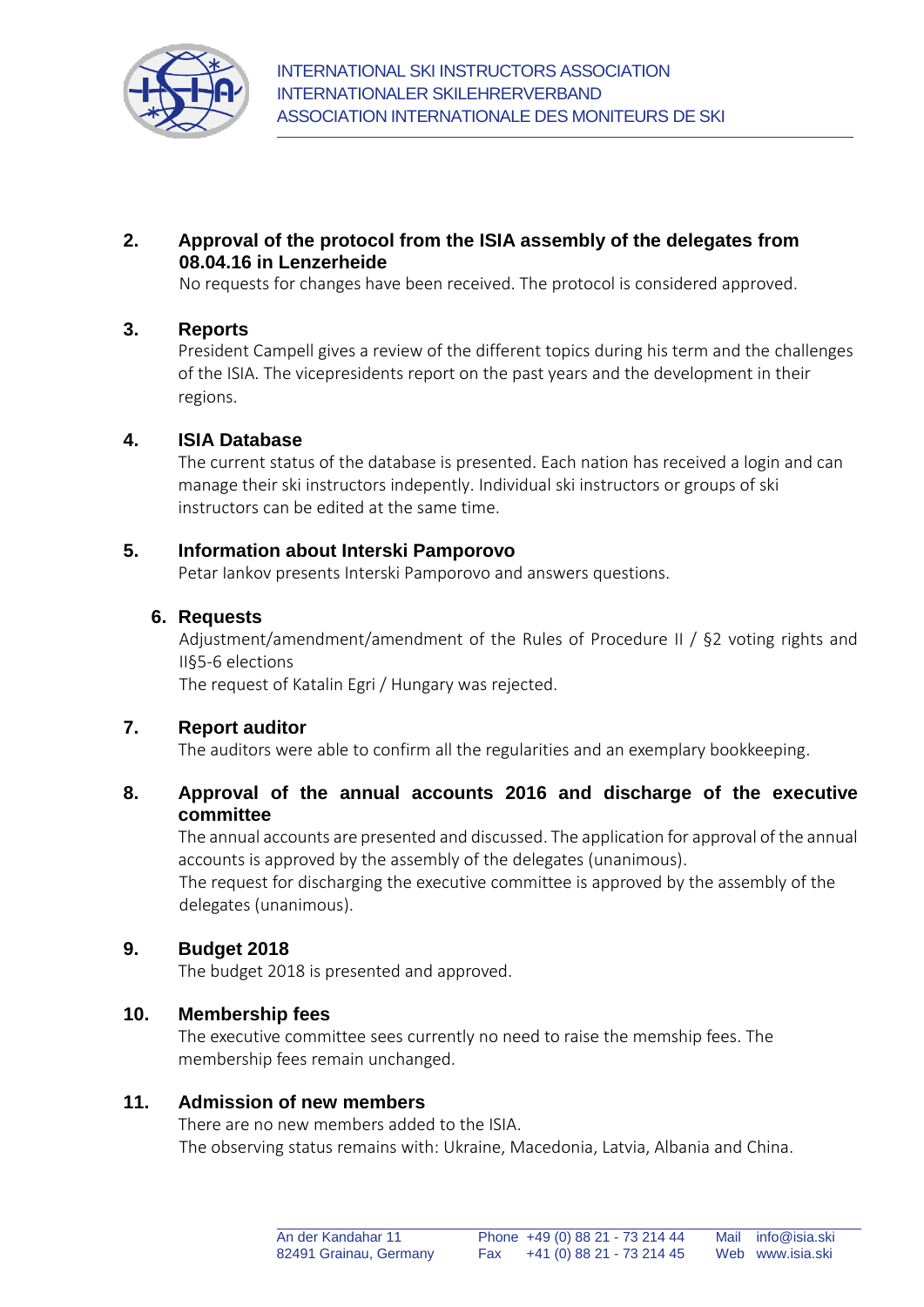

# **2. Approval of the protocol from the ISIA assembly of the delegates from 08.04.16 in Lenzerheide**

No requests for changes have been received. The protocol is considered approved.

#### **3. Reports**

President Campell gives a review of the different topics during his term and the challenges of the ISIA. The vicepresidents report on the past years and the development in their regions.

#### **4. ISIA Database**

The current status of the database is presented. Each nation has received a login and can manage their ski instructors indepently. Individual ski instructors or groups of ski instructors can be edited at the same time.

## **5. Information about Interski Pamporovo**

Petar Iankov presents Interski Pamporovo and answers questions.

## **6. Requests**

Adjustment/amendment/amendment of the Rules of Procedure II / §2 voting rights and II§5-6 elections

The request of Katalin Egri / Hungary was rejected.

#### **7. Report auditor**

The auditors were able to confirm all the regularities and an exemplary bookkeeping.

# **8. Approval of the annual accounts 2016 and discharge of the executive committee**

The annual accounts are presented and discussed. The application for approval of the annual accounts is approved by the assembly of the delegates (unanimous).

The request for discharging the executive committee is approved by the assembly of the delegates (unanimous).

#### **9. Budget 2018**

The budget 2018 is presented and approved.

#### **10. Membership fees**

The executive committee sees currently no need to raise the memship fees. The membership fees remain unchanged.

# **11. Admission of new members**

There are no new members added to the ISIA. The observing status remains with: Ukraine, Macedonia, Latvia, Albania and China.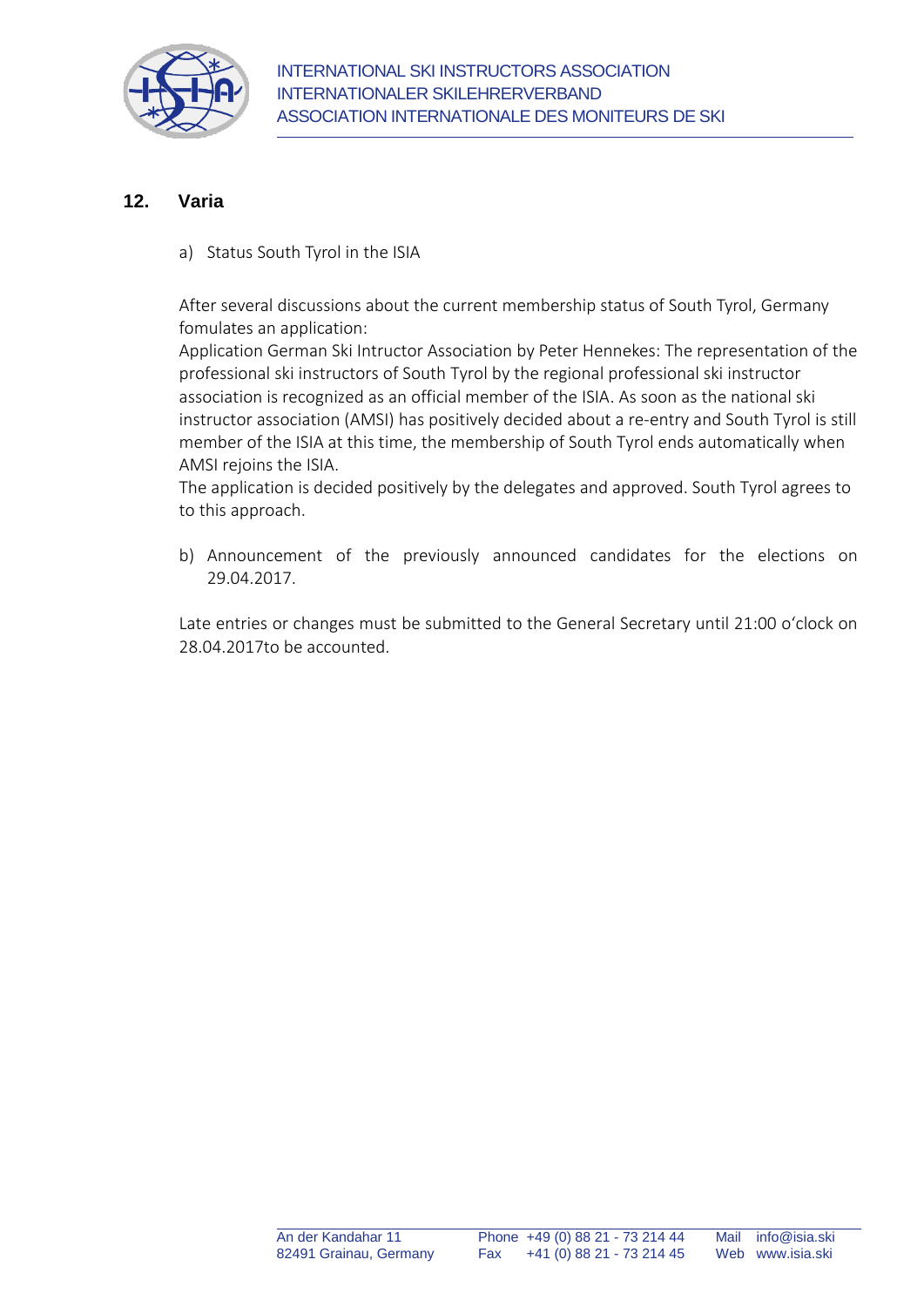

## **12. Varia**

a) Status South Tyrol in the ISIA

After several discussions about the current membership status of South Tyrol, Germany fomulates an application:

Application German Ski Intructor Association by Peter Hennekes: The representation of the professional ski instructors of South Tyrol by the regional professional ski instructor association is recognized as an official member of the ISIA. As soon as the national ski instructor association (AMSI) has positively decided about a re-entry and South Tyrol is still member of the ISIA at this time, the membership of South Tyrol ends automatically when AMSI rejoins the ISIA.

The application is decided positively by the delegates and approved. South Tyrol agrees to to this approach.

b) Announcement of the previously announced candidates for the elections on 29.04.2017.

Late entries or changes must be submitted to the General Secretary until 21:00 o'clock on 28.04.2017to be accounted.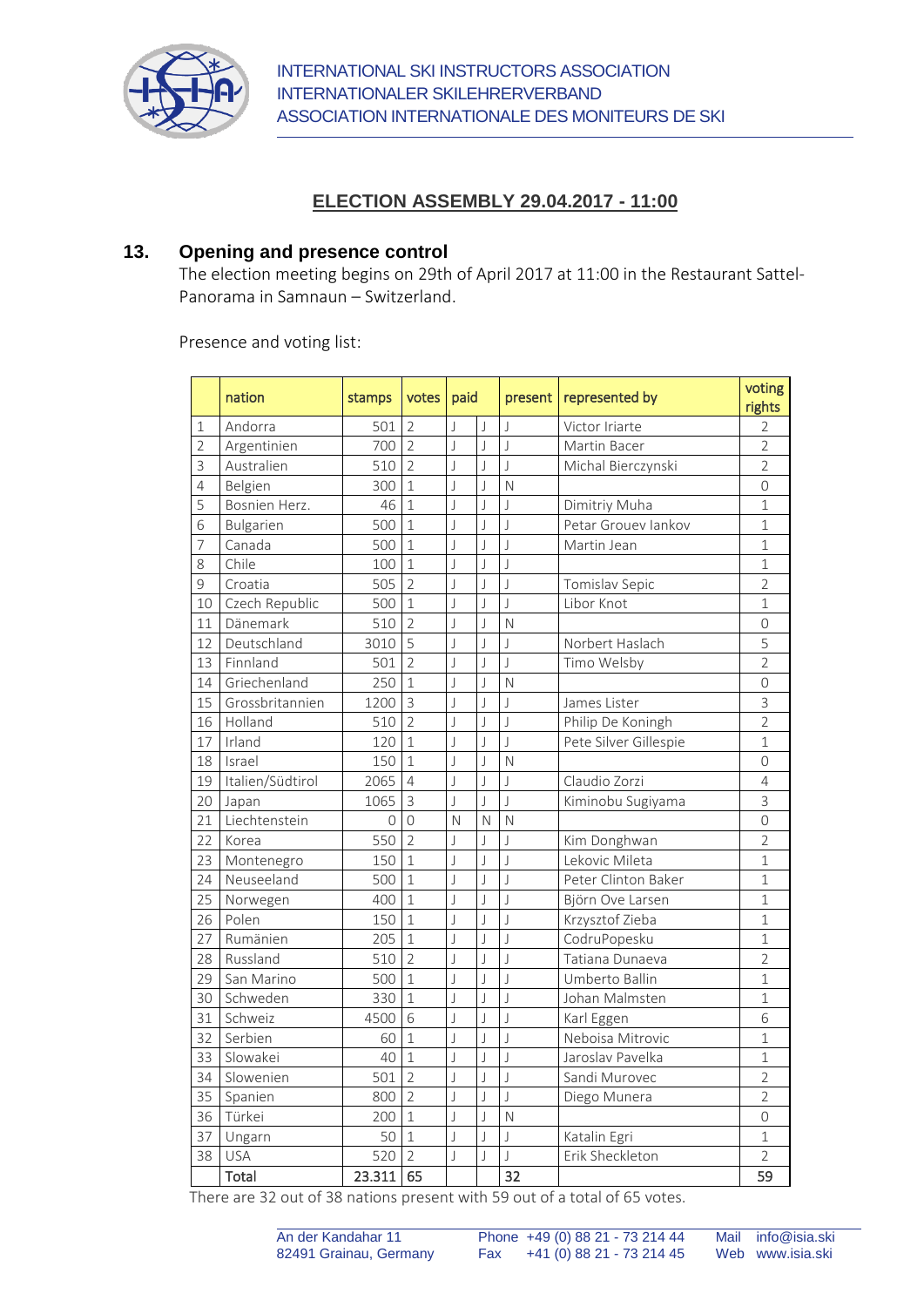

# **ELECTION ASSEMBLY 29.04.2017 - 11:00**

#### **13. Opening and presence control**

The election meeting begins on 29th of April 2017 at 11:00 in the Restaurant Sattel-Panorama in Samnaun – Switzerland.

Presence and voting list:

|                | nation           | stamps | votes                    | paid                     |                         | present                  | represented by        | voting<br>rights |
|----------------|------------------|--------|--------------------------|--------------------------|-------------------------|--------------------------|-----------------------|------------------|
| $\mathbf 1$    | Andorra          | 501    | $\overline{2}$           | J                        | J                       | $\overline{\phantom{a}}$ | Victor Iriarte        | $\overline{2}$   |
| $\overline{2}$ | Argentinien      | 700    | $\overline{\phantom{a}}$ | $\overline{\phantom{a}}$ | $\bigcup$               | $\overline{\phantom{a}}$ | Martin Bacer          | $\overline{2}$   |
| 3              | Australien       | 510    | $\overline{2}$           | J                        | J                       | $\overline{\phantom{a}}$ | Michal Bierczynski    | $\overline{2}$   |
| 4              | Belgien          | 300    | $\overline{1}$           | J                        | J                       | N                        |                       | $\overline{O}$   |
| 5              | Bosnien Herz.    | 46     | $\mathbf{1}$             | J                        | J                       | $\overline{J}$           | Dimitriy Muha         | $\mathbf 1$      |
| 6              | Bulgarien        | 500    | $\mathbf{1}$             | J                        | $\overline{\mathsf{J}}$ | $\overline{\mathsf{I}}$  | Petar Grouev lankov   | $\mathbf 1$      |
| 7              | Canada           | 500    | $\mathbf{1}$             | J                        | J                       | $\overline{\phantom{a}}$ | Martin Jean           | $\mathbf{1}$     |
| 8              | Chile            | 100    | $\mathbf{1}$             | J                        | J                       | $\mathsf{I}$             |                       | 1                |
| 9              | Croatia          | 505    | $\overline{2}$           | J                        | J                       | J                        | Tomislav Sepic        | $\overline{2}$   |
| 10             | Czech Republic   | 500    | $\overline{1}$           | J                        | $\overline{\mathsf{J}}$ | J                        | Libor Knot            | $\overline{1}$   |
| 11             | Dänemark         | 510    | $\overline{2}$           | J                        | J                       | N                        |                       | $\overline{O}$   |
| 12             | Deutschland      | 3010   | 5                        | J                        | J                       | J                        | Norbert Haslach       | 5                |
| 13             | Finnland         | 501    | $\overline{2}$           | J                        | $\bigcup$               | J                        | Timo Welsby           | $\overline{2}$   |
| 14             | Griechenland     | 250    | $\mathbf 1$              | J                        | $\bigcup$               | N                        |                       | $\overline{O}$   |
| 15             | Grossbritannien  | 1200   | $\overline{3}$           | $\overline{\phantom{a}}$ | J                       | $\overline{\phantom{a}}$ | James Lister          | $\overline{3}$   |
| 16             | Holland          | 510    | $\overline{2}$           | J                        | J                       | $\overline{\mathsf{J}}$  | Philip De Koningh     | $\overline{2}$   |
| 17             | Irland           | 120    | $\mathbf{1}$             | J                        | $\overline{\mathsf{J}}$ | $\overline{J}$           | Pete Silver Gillespie | $\mathbf 1$      |
| 18             | Israel           | 150    | $\mathbf{1}$             | J                        | $\overline{\mathsf{J}}$ | N                        |                       | 0                |
| 19             | Italien/Südtirol | 2065   | $\overline{4}$           | J                        | J                       | $\overline{\phantom{a}}$ | Claudio Zorzi         | 4                |
| 20             | Japan            | 1065   | $\overline{3}$           | $\overline{\phantom{a}}$ | J                       | $\overline{\phantom{a}}$ | Kiminobu Sugiyama     | $\overline{3}$   |
| 21             | Liechtenstein    | 0      | 0                        | N                        | N                       | N                        |                       | 0                |
| 22             | Korea            | 550    | $\overline{2}$           | J                        | J                       | J                        | Kim Donghwan          | $\overline{2}$   |
| 23             | Montenegro       | 150    | $\mathbf{1}$             | $\overline{\phantom{a}}$ | J                       | $\overline{\phantom{a}}$ | Lekovic Mileta        | $\mathbf 1$      |
| 24             | Neuseeland       | 500    | $\overline{1}$           | J                        | J                       | J                        | Peter Clinton Baker   | $\mathbf 1$      |
| 25             | Norwegen         | 400    | $\mathbf{1}$             | J                        | J                       | J                        | Björn Ove Larsen      | 1                |
| 26             | Polen            | 150    | $\mathbf{1}$             | J                        | J                       | J                        | Krzysztof Zieba       | $\mathbf 1$      |
| 27             | Rumänien         | 205    | $\mathbf{1}$             | J                        | J                       | J                        | CodruPopesku          | 1                |
| 28             | Russland         | 510    | $\overline{2}$           | J                        | J                       | J                        | Tatiana Dunaeva       | $\overline{2}$   |
| 29             | San Marino       | 500    | $\mathbf{1}$             | J                        | J                       | J                        | Umberto Ballin        | $\mathbf{1}$     |
| 30             | Schweden         | 330    | $\mathbf{1}$             | J                        | J                       | J                        | Johan Malmsten        | $\mathbf{1}$     |
| 31             | Schweiz          | 4500   | 6                        | J                        | $\bigcup$               | J                        | Karl Eggen            | 6                |
| 32             | Serbien          | 60     | $\overline{1}$           | J                        | J                       | J                        | Neboisa Mitrovic      | $\mathbf{1}$     |
| 33             | Slowakei         | 40     | $\mathbf{1}$             | J                        | J                       | J                        | Jaroslav Pavelka      | $\mathbf{1}$     |
| 34             | Slowenien        | 501    | $\overline{2}$           | $\bigcup$                | $\bigcup$               | $\overline{\mathsf{I}}$  | Sandi Murovec         | $\overline{2}$   |
| 35             | Spanien          | 800    | $\overline{2}$           | J                        | $\overline{\mathsf{J}}$ | J                        | Diego Munera          | $\overline{2}$   |
| 36             | Türkei           | 200    | $\mathbf{1}$             | $\overline{\phantom{a}}$ | J                       | N                        |                       | $\overline{O}$   |
| 37             | Ungarn           | 50     | $\mathbf{1}$             | J                        | J                       | $\overline{\phantom{a}}$ | Katalin Egri          | 1                |
| 38             | <b>USA</b>       | 520    | $\overline{2}$           | J                        | J                       |                          | Erik Sheckleton       | $\overline{2}$   |
|                | Total            | 23.311 | 65                       |                          |                         | 32                       |                       | 59               |

There are 32 out of 38 nations present with 59 out of a total of 65 votes.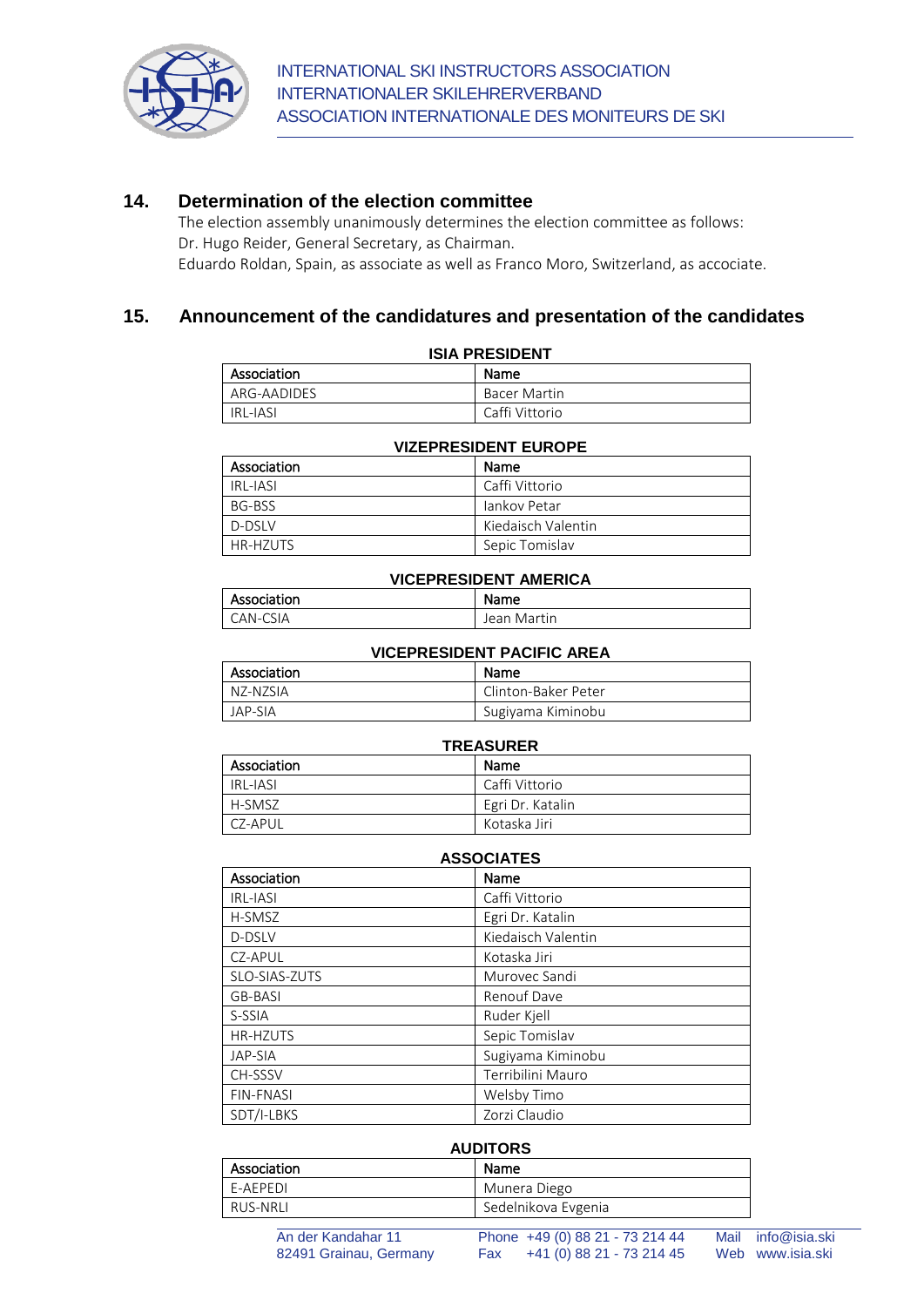

#### **14. Determination of the election committee**

The election assembly unanimously determines the election committee as follows: Dr. Hugo Reider, General Secretary, as Chairman. Eduardo Roldan, Spain, as associate as well as Franco Moro, Switzerland, as accociate.

#### **15. Announcement of the candidatures and presentation of the candidates**

| <b>ISIA PRESIDENT</b> |                     |  |  |
|-----------------------|---------------------|--|--|
| Association           | Name                |  |  |
| ARG-AADIDES           | <b>Bacer Martin</b> |  |  |
| IRI-IASI              | Caffi Vittorio      |  |  |

| VILLI INLUIDLINI LUINUI L |                    |  |  |  |
|---------------------------|--------------------|--|--|--|
| Association               | Name               |  |  |  |
| IRI-IASI                  | Caffi Vittorio     |  |  |  |
| BG-BSS                    | Jankov Petar       |  |  |  |
| D-DSIV                    | Kiedaisch Valentin |  |  |  |
| HR-H7UTS                  | Sepic Tomislav     |  |  |  |

#### **VIZEPRESIDENT EUROPE**

#### **VICEPRESIDENT AMERICA**

| Association | Name        |
|-------------|-------------|
| CAN-CSIA    | Jean Martin |

# **VICEPRESIDENT PACIFIC AREA**

| Association | Name                |
|-------------|---------------------|
| NZ-NZSIA    | Clinton-Baker Peter |
| JAP-SIA     | Sugiyama Kiminobu   |

#### **TREASURER** Association Name IRL-IASI Caffi Vittorio H-SMSZ Egri Dr. Katalin CZ-APUL Kotaska Jiri

| <b>ASSOCIATES</b> |                    |  |  |
|-------------------|--------------------|--|--|
| Association       | Name               |  |  |
| <b>IRL-JASI</b>   | Caffi Vittorio     |  |  |
| H-SMSZ            | Egri Dr. Katalin   |  |  |
| D-DSLV            | Kiedaisch Valentin |  |  |
| CZ-APUL           | Kotaska Jiri       |  |  |
| SLO-SIAS-ZUTS     | Murovec Sandi      |  |  |
| GB-BASI           | Renouf Dave        |  |  |
| S-SSIA            | Ruder Kjell        |  |  |
| <b>HR-HZUTS</b>   | Sepic Tomislav     |  |  |
| JAP-SIA           | Sugiyama Kiminobu  |  |  |
| CH-SSSV           | Terribilini Mauro  |  |  |
| <b>FIN-FNASI</b>  | Welsby Timo        |  |  |
| SDT/I-LBKS        | Zorzi Claudio      |  |  |

| <b>AUDITORS</b> |                     |  |  |
|-----------------|---------------------|--|--|
| Association     | Name                |  |  |
| F-AFPFDI        | Munera Diego        |  |  |
| RUS-NRLI        | Sedelnikova Evgenia |  |  |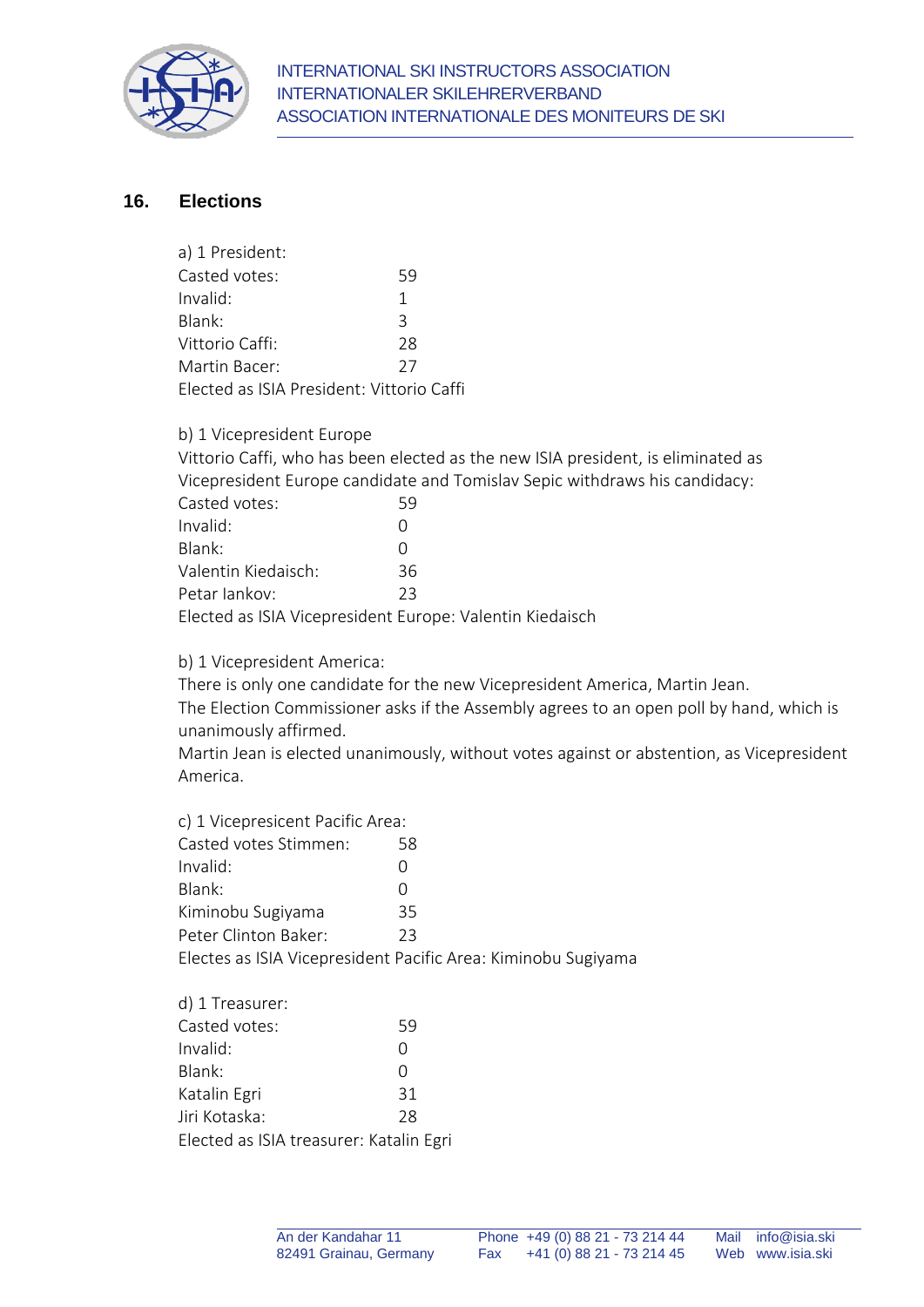

## **16. Elections**

| 59                                        |
|-------------------------------------------|
| 1                                         |
| 3                                         |
| 28                                        |
| 27                                        |
| Elected as ISIA President: Vittorio Caffi |
|                                           |

b) 1 Vicepresident Europe

Vittorio Caffi, who has been elected as the new ISIA president, is eliminated as Vicepresident Europe candidate and Tomislav Sepic withdraws his candidacy:

| Casted votes:                                            | 59  |
|----------------------------------------------------------|-----|
| Invalid:                                                 |     |
| Blank:                                                   |     |
| Valentin Kiedaisch:                                      | 36. |
| Petar lankov:                                            | フ3  |
| Elected as ISIA Vicepresident Europe: Valentin Kiedaisch |     |

b) 1 Vicepresident America:

There is only one candidate for the new Vicepresident America, Martin Jean. The Election Commissioner asks if the Assembly agrees to an open poll by hand, which is unanimously affirmed.

Martin Jean is elected unanimously, without votes against or abstention, as Vicepresident America.

| c) 1 Vicepresicent Pacific Area: |                                                               |  |  |  |
|----------------------------------|---------------------------------------------------------------|--|--|--|
| Casted votes Stimmen:            | 58                                                            |  |  |  |
| Invalid:                         | $\left( \right)$                                              |  |  |  |
| Blank:                           | $\left( \right)$                                              |  |  |  |
| Kiminobu Sugiyama                | 35                                                            |  |  |  |
| Peter Clinton Baker:             | 23                                                            |  |  |  |
|                                  | Electes as ISIA Vicepresident Pacific Area: Kiminobu Sugiyama |  |  |  |
|                                  |                                                               |  |  |  |

| d) 1 Treasurer:                         |    |
|-----------------------------------------|----|
| Casted votes:                           | 59 |
| Invalid:                                | Ω  |
| Blank:                                  | Ω  |
| Katalin Egri                            | 31 |
| Jiri Kotaska:                           | 28 |
| Elected as ISIA treasurer: Katalin Egri |    |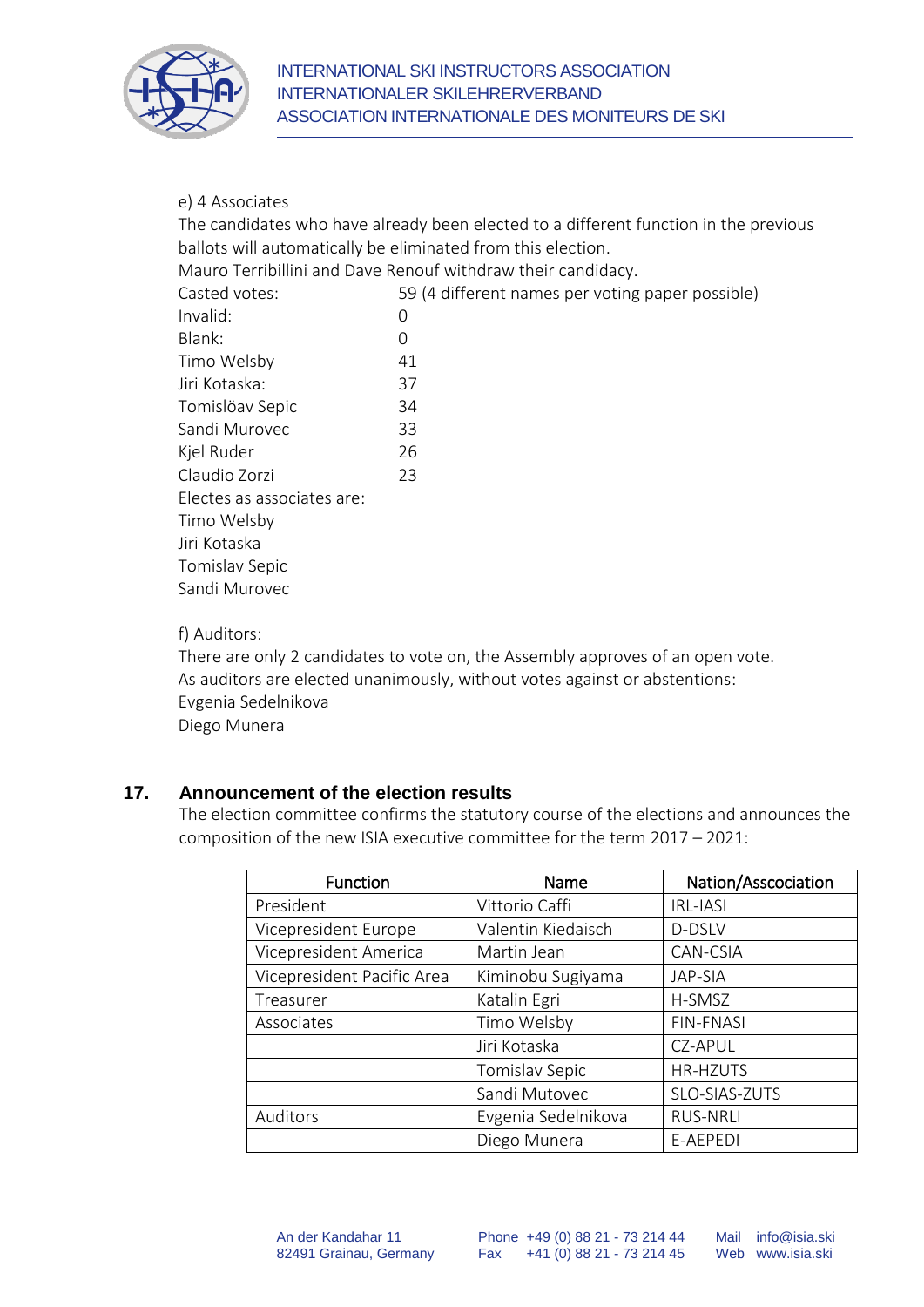

#### e) 4 Associates

The candidates who have already been elected to a different function in the previous ballots will automatically be eliminated from this election.

Mauro Terribillini and Dave Renouf withdraw their candidacy.

Casted votes: 59 (4 different names per voting paper possible)

| Invalid:                   | 0  |
|----------------------------|----|
| Blank:                     | 0  |
| Timo Welsby                | 41 |
| Jiri Kotaska:              | 37 |
| Tomislöav Sepic            | 34 |
| Sandi Murovec              | 33 |
| Kjel Ruder                 | 26 |
| Claudio Zorzi              | 23 |
| Electes as associates are: |    |
| Timo Welsby                |    |
| Jiri Kotaska               |    |
| Tomislav Sepic             |    |
| Sandi Murovec              |    |
|                            |    |

#### f) Auditors:

There are only 2 candidates to vote on, the Assembly approves of an open vote. As auditors are elected unanimously, without votes against or abstentions: Evgenia Sedelnikova Diego Munera

#### **17. Announcement of the election results**

The election committee confirms the statutory course of the elections and announces the composition of the new ISIA executive committee for the term 2017 – 2021:

| <b>Function</b>            | Name                | Nation/Asscociation |
|----------------------------|---------------------|---------------------|
| President                  | Vittorio Caffi      | <b>IRL-IASI</b>     |
| Vicepresident Europe       | Valentin Kiedaisch  | D-DSLV              |
| Vicepresident America      | Martin Jean         | CAN-CSIA            |
| Vicepresident Pacific Area | Kiminobu Sugiyama   | JAP-SIA             |
| Treasurer                  | Katalin Egri        | H-SMSZ              |
| Associates                 | Timo Welsby         | <b>FIN-FNASI</b>    |
|                            | Jiri Kotaska        | CZ-APUL             |
|                            | Tomislav Sepic      | <b>HR-HZUTS</b>     |
|                            | Sandi Mutovec       | SLO-SIAS-ZUTS       |
| Auditors                   | Evgenia Sedelnikova | <b>RUS-NRLI</b>     |
|                            | Diego Munera        | E-AEPEDI            |